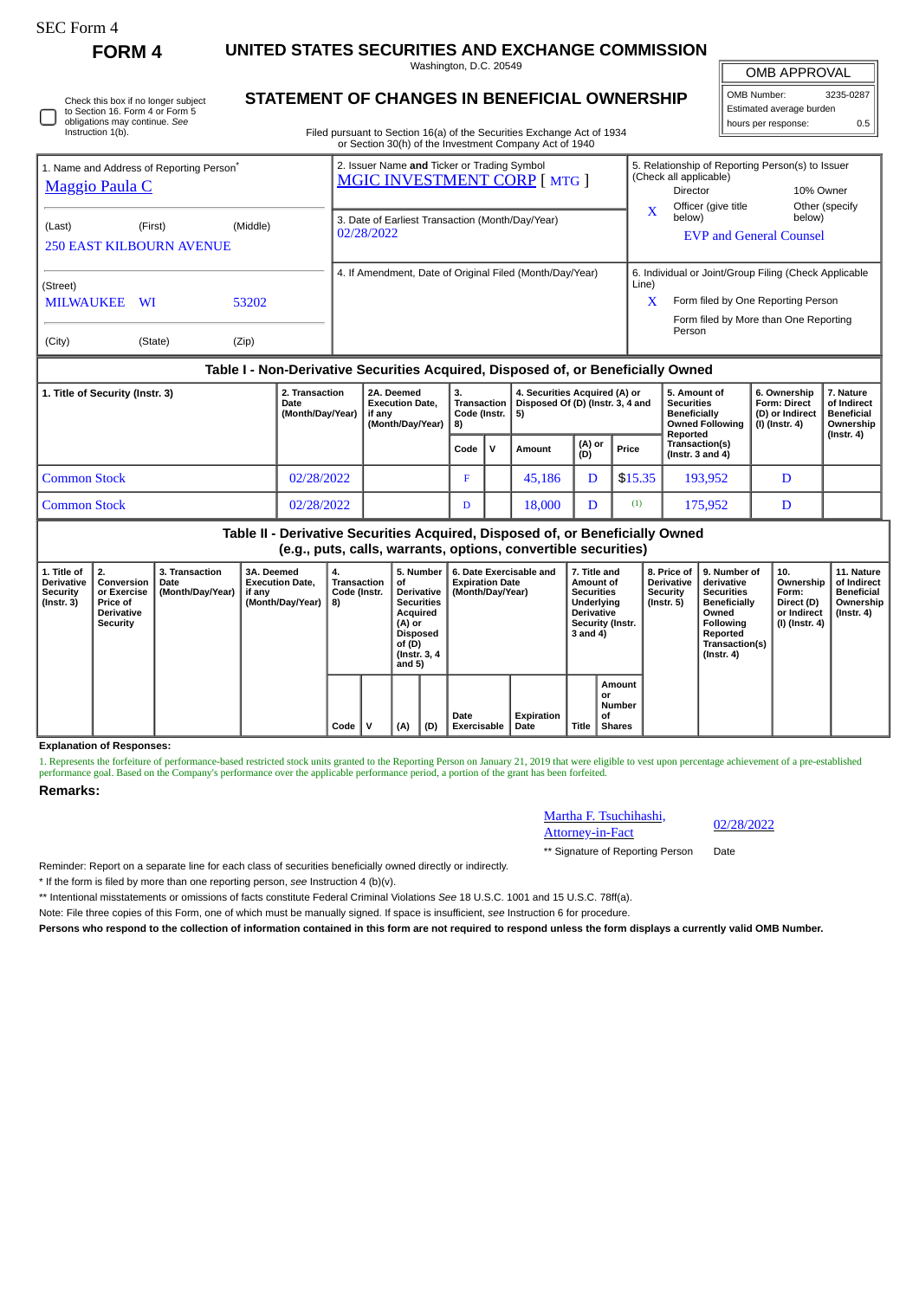## SEC Form 4

**FORM 4 UNITED STATES SECURITIES AND EXCHANGE COMMISSION** Washington, D.C. 20549

OMB APPROVAL

 $\mathbb{I}$ 

| OMB Number:              | 3235-0287 |  |  |  |  |  |  |  |
|--------------------------|-----------|--|--|--|--|--|--|--|
| Estimated average burden |           |  |  |  |  |  |  |  |
| hours per response:      | 0.5       |  |  |  |  |  |  |  |

| Check this box if no longer subiect | S |
|-------------------------------------|---|
| to Section 16. Form 4 or Form 5     |   |
| obligations may continue. See       |   |
| Instruction 1(b).                   |   |

## **STATEMENT OF CHANGES IN BENEFICIAL OWNERSHIP**

Filed pursuant to Section 16(a) of the Securities Exchange Act of 1934 or Section 30(h) of the Investment Company Act of 1940

| 1. Name and Address of Reporting Person <sup>®</sup><br><b>Maggio Paula C</b> |                                                                                  |                |  | 2. Issuer Name and Ticker or Trading Symbol<br>MGIC INVESTMENT CORP [ MTG ] |    |                                                          |                                                               | 5. Relationship of Reporting Person(s) to Issuer<br>(Check all applicable)<br><b>Director</b><br>Officer (give title                           | 10% Owner<br>Other (specify |  |
|-------------------------------------------------------------------------------|----------------------------------------------------------------------------------|----------------|--|-----------------------------------------------------------------------------|----|----------------------------------------------------------|---------------------------------------------------------------|------------------------------------------------------------------------------------------------------------------------------------------------|-----------------------------|--|
| (Last)<br><b>250 EAST KILBOURN AVENUE</b>                                     | (First)                                                                          | (Middle)       |  | 3. Date of Earliest Transaction (Month/Day/Year)<br>02/28/2022              |    |                                                          | $\mathbf x$                                                   | below)<br><b>EVP and General Counsel</b>                                                                                                       |                             |  |
| (Street)<br><b>MILWAUKEE</b><br>(City)                                        | <b>WI</b><br>(State)                                                             | 53202<br>(Zip) |  |                                                                             |    | 4. If Amendment, Date of Original Filed (Month/Day/Year) | Line)<br>X                                                    | 6. Individual or Joint/Group Filing (Check Applicable<br>Form filed by One Reporting Person<br>Form filed by More than One Reporting<br>Person |                             |  |
|                                                                               | Table I - Non-Derivative Securities Acquired, Disposed of, or Beneficially Owned |                |  |                                                                             |    |                                                          |                                                               |                                                                                                                                                |                             |  |
| 2. Transaction<br>1. Title of Security (Instr. 3)                             |                                                                                  |                |  | 2A. Deemed                                                                  | 3. |                                                          | 4. Securities Acquired (A) or<br>6. Ownership<br>5. Amount of |                                                                                                                                                |                             |  |

| <b>L. THE OF SECUTILY (ILISLI. 3)</b> | L. Hansavuvn<br><i>L</i> otulu<br><b>Execution Date.</b><br>Date<br>(Month/Day/Year)<br>l if anv<br>(Month/Dav/Year) |  | Code (Instr. $\vert 5$ )<br>  8) |              | $\pm$ . Securities Acquired (A) or<br>  Transaction   Disposed Of (D) (Instr. 3, 4 and |               |         | v. Allivulit vi<br><b>Securities</b><br><b>Beneficially</b><br>Owned Following  <br>Reported | <b>U. OWNIGI SHIP</b><br><b>Form: Direct</b><br>(D) or Indirect<br>  (I) (Instr. 4) | 1. I VALUI <del>U</del><br>of Indirect<br>Beneficial<br>Ownership<br>(Instr. 4) |
|---------------------------------------|----------------------------------------------------------------------------------------------------------------------|--|----------------------------------|--------------|----------------------------------------------------------------------------------------|---------------|---------|----------------------------------------------------------------------------------------------|-------------------------------------------------------------------------------------|---------------------------------------------------------------------------------|
|                                       |                                                                                                                      |  | Code                             | $\mathbf{v}$ | Amount                                                                                 | (A) or<br>(D) | Price   | Transaction(s)<br>( $Instr. 3 and 4$ )                                                       |                                                                                     |                                                                                 |
| <b>Common Stock</b>                   | 02/28/2022                                                                                                           |  | е                                |              | 45.186                                                                                 | D             | \$15.35 | 193.952                                                                                      |                                                                                     |                                                                                 |
| Common Stock                          | 02/28/2022                                                                                                           |  | D                                |              | 18,000                                                                                 |               | (1)     | 175,952                                                                                      | D                                                                                   |                                                                                 |

## **Table II - Derivative Securities Acquired, Disposed of, or Beneficially Owned (e.g., puts, calls, warrants, options, convertible securities)**

| 1. Title of<br><b>Derivative</b><br>Security<br>$($ Instr. 3 $)$ | 2.<br>Conversion<br>or Exercise<br>Price of<br><b>Derivative</b><br>Security | <b>3. Transaction</b><br>Date<br>(Month/Day/Year) | 3A. Deemed<br><b>Execution Date.</b><br>if any<br>(Month/Day/Year) | 4.<br>Transaction<br>Code (Instr.<br>8) | 5. Number<br>οf<br><b>Derivative</b><br><b>Securities</b><br>Acquired<br>(A) or<br>Disposed<br>of (D)<br>(Instr. 3, 4)<br>and $5)$ |     | 6. Date Exercisable and<br><b>Expiration Date</b><br>(Month/Day/Year) | 7. Title and<br>Amount of<br><b>Securities</b><br>Underlying<br><b>Derivative</b><br>Security (Instr.<br>3 and 4) |       | <b>Derivative</b><br>Security<br>$($ Instr. 5 $)$    | 8. Price of 19. Number of<br>derivative<br><b>Securities</b><br><b>Beneficially</b><br>Owned<br>Following<br>Reported<br>Transaction(s)<br>$($ Instr. 4 $)$ | 10.<br>Ownership<br>Form:<br>Direct (D)<br>or Indirect<br>(I) (Instr. 4) | 11. Nature<br>of Indirect<br>Beneficial<br>Ownership<br>(Instr. 4) |  |
|------------------------------------------------------------------|------------------------------------------------------------------------------|---------------------------------------------------|--------------------------------------------------------------------|-----------------------------------------|------------------------------------------------------------------------------------------------------------------------------------|-----|-----------------------------------------------------------------------|-------------------------------------------------------------------------------------------------------------------|-------|------------------------------------------------------|-------------------------------------------------------------------------------------------------------------------------------------------------------------|--------------------------------------------------------------------------|--------------------------------------------------------------------|--|
|                                                                  |                                                                              |                                                   |                                                                    | Code                                    | (A)                                                                                                                                | (D) | Date<br><b>Exercisable</b>                                            | Expiration<br>Date                                                                                                | Title | Amount<br>or<br><b>Number</b><br>οf<br><b>Shares</b> |                                                                                                                                                             |                                                                          |                                                                    |  |

**Explanation of Responses:**

1. Represents the forfeiture of performance-based restricted stock units granted to the Reporting Person on January 21, 2019 that were eligible to vest upon percentage achievement of a pre-established performance goal. Based on the Company's performance over the applicable performance period, a portion of the grant has been forfeited.

**Remarks:**



\*\* Signature of Reporting Person Date

Reminder: Report on a separate line for each class of securities beneficially owned directly or indirectly.

\* If the form is filed by more than one reporting person, *see* Instruction 4 (b)(v).

\*\* Intentional misstatements or omissions of facts constitute Federal Criminal Violations *See* 18 U.S.C. 1001 and 15 U.S.C. 78ff(a).

Note: File three copies of this Form, one of which must be manually signed. If space is insufficient, *see* Instruction 6 for procedure.

**Persons who respond to the collection of information contained in this form are not required to respond unless the form displays a currently valid OMB Number.**